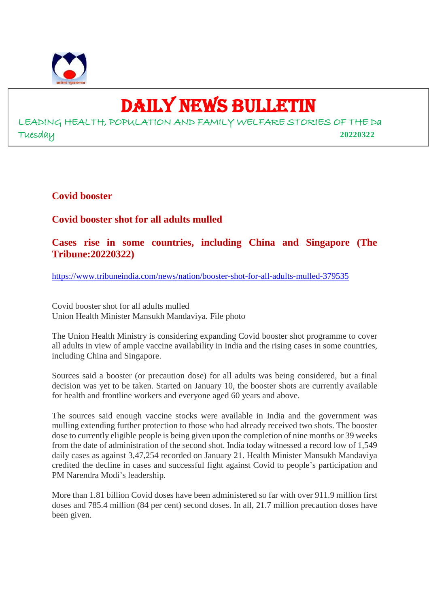

# DAILY NEWS BULLETIN

LEADING HEALTH, POPULATION AND FAMILY WELFARE STORIES OF THE Da Tuesday **20220322**

**Covid booster**

**Covid booster shot for all adults mulled**

**Cases rise in some countries, including China and Singapore (The Tribune:20220322)**

https://www.tribuneindia.com/news/nation/booster-shot-for-all-adults-mulled-379535

Covid booster shot for all adults mulled Union Health Minister Mansukh Mandaviya. File photo

The Union Health Ministry is considering expanding Covid booster shot programme to cover all adults in view of ample vaccine availability in India and the rising cases in some countries, including China and Singapore.

Sources said a booster (or precaution dose) for all adults was being considered, but a final decision was yet to be taken. Started on January 10, the booster shots are currently available for health and frontline workers and everyone aged 60 years and above.

The sources said enough vaccine stocks were available in India and the government was mulling extending further protection to those who had already received two shots. The booster dose to currently eligible people is being given upon the completion of nine months or 39 weeks from the date of administration of the second shot. India today witnessed a record low of 1,549 daily cases as against 3,47,254 recorded on January 21. Health Minister Mansukh Mandaviya credited the decline in cases and successful fight against Covid to people's participation and PM Narendra Modi's leadership.

More than 1.81 billion Covid doses have been administered so far with over 911.9 million first doses and 785.4 million (84 per cent) second doses. In all, 21.7 million precaution doses have been given.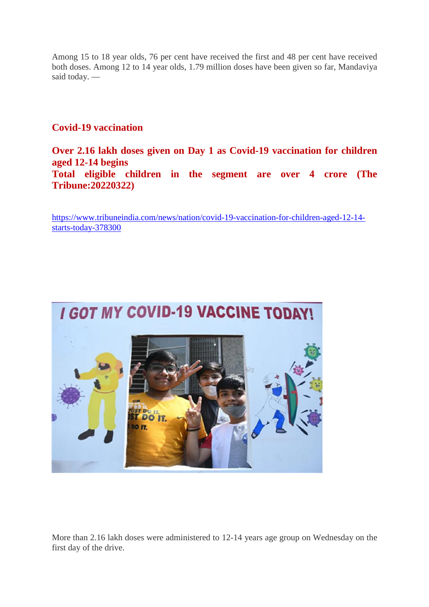Among 15 to 18 year olds, 76 per cent have received the first and 48 per cent have received both doses. Among 12 to 14 year olds, 1.79 million doses have been given so far, Mandaviya said today. —

# **Covid-19 vaccination**

**Over 2.16 lakh doses given on Day 1 as Covid-19 vaccination for children aged 12-14 begins Total eligible children in the segment are over 4 crore (The Tribune:20220322)**

https://www.tribuneindia.com/news/nation/covid-19-vaccination-for-children-aged-12-14 starts-today-378300



More than 2.16 lakh doses were administered to 12-14 years age group on Wednesday on the first day of the drive.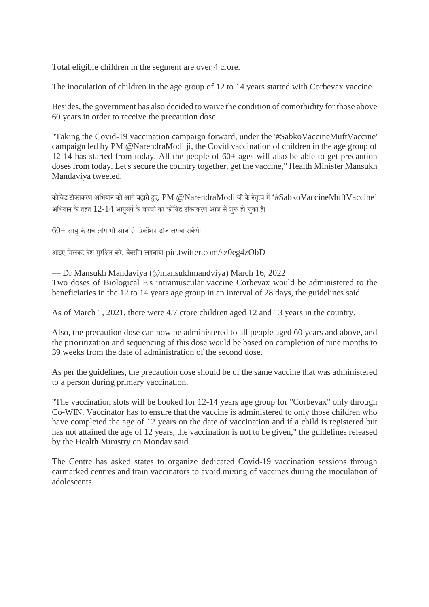Total eligible children in the segment are over 4 crore.

The inoculation of children in the age group of 12 to 14 years started with Corbevax vaccine.

Besides, the government has also decided to waive the condition of comorbidity for those above 60 years in order to receive the precaution dose.

"Taking the Covid-19 vaccination campaign forward, under the '#SabkoVaccineMuftVaccine' campaign led by PM @NarendraModi ji, the Covid vaccination of children in the age group of 12-14 has started from today. All the people of 60+ ages will also be able to get precaution doses from today. Let's secure the country together, get the vaccine," Health Minister Mansukh Mandaviya tweeted.

कोविड टीकाकरण अभियान को आगे बढ़ाते हुए, PM @NarendraModi जी के नेतृत्व में '#SabkoVaccineMuftVaccine' अभियान के तहत  $12$ - $14$  आयुवर्ग के बच्चों का कोविड टीकाकरण आज से शुरू हो चुका है।

 $60+$  आयु के सब लोग भी आज से प्रिकॉशन डोज लगवा सकेंगे।

आइए िमलकर देश सरुित करे, वैसीन लगवाय। pic.twitter.com/sz0eg4zObD

— Dr Mansukh Mandaviya (@mansukhmandviya) March 16, 2022 Two doses of Biological E's intramuscular vaccine Corbevax would be administered to the beneficiaries in the 12 to 14 years age group in an interval of 28 days, the guidelines said.

As of March 1, 2021, there were 4.7 crore children aged 12 and 13 years in the country.

Also, the precaution dose can now be administered to all people aged 60 years and above, and the prioritization and sequencing of this dose would be based on completion of nine months to 39 weeks from the date of administration of the second dose.

As per the guidelines, the precaution dose should be of the same vaccine that was administered to a person during primary vaccination.

"The vaccination slots will be booked for 12-14 years age group for "Corbevax" only through Co-WIN. Vaccinator has to ensure that the vaccine is administered to only those children who have completed the age of 12 years on the date of vaccination and if a child is registered but has not attained the age of 12 years, the vaccination is not to be given," the guidelines released by the Health Ministry on Monday said.

The Centre has asked states to organize dedicated Covid-19 vaccination sessions through earmarked centres and train vaccinators to avoid mixing of vaccines during the inoculation of adolescents.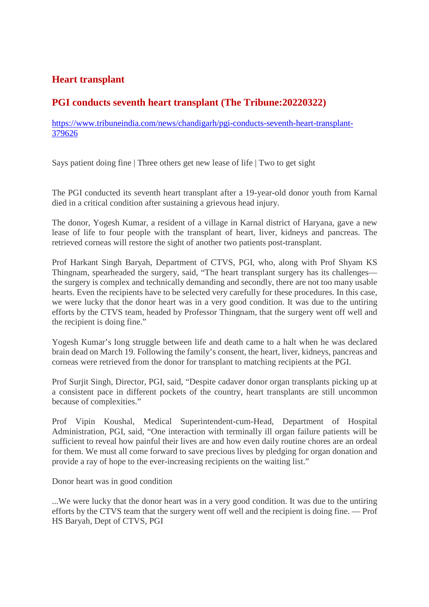# **Heart transplant**

# **PGI conducts seventh heart transplant (The Tribune:20220322)**

https://www.tribuneindia.com/news/chandigarh/pgi-conducts-seventh-heart-transplant-379626

Says patient doing fine | Three others get new lease of life | Two to get sight

The PGI conducted its seventh heart transplant after a 19-year-old donor youth from Karnal died in a critical condition after sustaining a grievous head injury.

The donor, Yogesh Kumar, a resident of a village in Karnal district of Haryana, gave a new lease of life to four people with the transplant of heart, liver, kidneys and pancreas. The retrieved corneas will restore the sight of another two patients post-transplant.

Prof Harkant Singh Baryah, Department of CTVS, PGI, who, along with Prof Shyam KS Thingnam, spearheaded the surgery, said, "The heart transplant surgery has its challenges the surgery is complex and technically demanding and secondly, there are not too many usable hearts. Even the recipients have to be selected very carefully for these procedures. In this case, we were lucky that the donor heart was in a very good condition. It was due to the untiring efforts by the CTVS team, headed by Professor Thingnam, that the surgery went off well and the recipient is doing fine."

Yogesh Kumar's long struggle between life and death came to a halt when he was declared brain dead on March 19. Following the family's consent, the heart, liver, kidneys, pancreas and corneas were retrieved from the donor for transplant to matching recipients at the PGI.

Prof Surjit Singh, Director, PGI, said, "Despite cadaver donor organ transplants picking up at a consistent pace in different pockets of the country, heart transplants are still uncommon because of complexities."

Prof Vipin Koushal, Medical Superintendent-cum-Head, Department of Hospital Administration, PGI, said, "One interaction with terminally ill organ failure patients will be sufficient to reveal how painful their lives are and how even daily routine chores are an ordeal for them. We must all come forward to save precious lives by pledging for organ donation and provide a ray of hope to the ever-increasing recipients on the waiting list."

Donor heart was in good condition

...We were lucky that the donor heart was in a very good condition. It was due to the untiring efforts by the CTVS team that the surgery went off well and the recipient is doing fine. — Prof HS Baryah, Dept of CTVS, PGI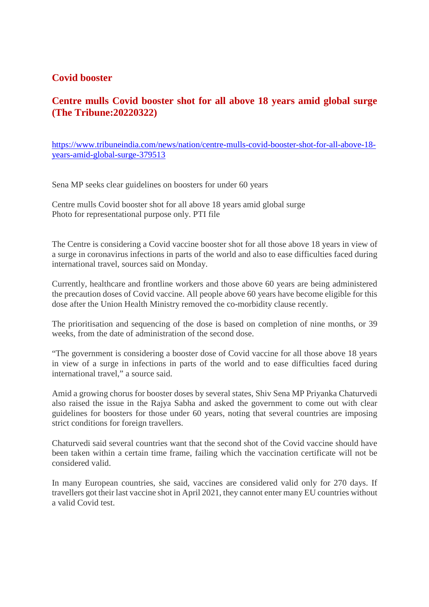### **Covid booster**

# **Centre mulls Covid booster shot for all above 18 years amid global surge (The Tribune:20220322)**

https://www.tribuneindia.com/news/nation/centre-mulls-covid-booster-shot-for-all-above-18 years-amid-global-surge-379513

Sena MP seeks clear guidelines on boosters for under 60 years

Centre mulls Covid booster shot for all above 18 years amid global surge Photo for representational purpose only. PTI file

The Centre is considering a Covid vaccine booster shot for all those above 18 years in view of a surge in coronavirus infections in parts of the world and also to ease difficulties faced during international travel, sources said on Monday.

Currently, healthcare and frontline workers and those above 60 years are being administered the precaution doses of Covid vaccine. All people above 60 years have become eligible for this dose after the Union Health Ministry removed the co-morbidity clause recently.

The prioritisation and sequencing of the dose is based on completion of nine months, or 39 weeks, from the date of administration of the second dose.

"The government is considering a booster dose of Covid vaccine for all those above 18 years in view of a surge in infections in parts of the world and to ease difficulties faced during international travel," a source said.

Amid a growing chorus for booster doses by several states, Shiv Sena MP Priyanka Chaturvedi also raised the issue in the Rajya Sabha and asked the government to come out with clear guidelines for boosters for those under 60 years, noting that several countries are imposing strict conditions for foreign travellers.

Chaturvedi said several countries want that the second shot of the Covid vaccine should have been taken within a certain time frame, failing which the vaccination certificate will not be considered valid.

In many European countries, she said, vaccines are considered valid only for 270 days. If travellers got their last vaccine shot in April 2021, they cannot enter many EU countries without a valid Covid test.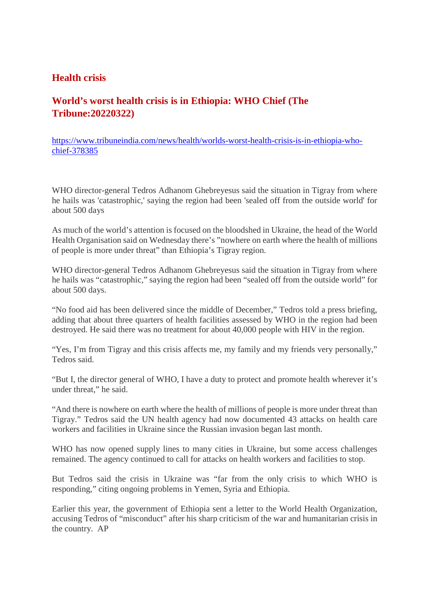# **Health crisis**

# **World's worst health crisis is in Ethiopia: WHO Chief (The Tribune:20220322)**

https://www.tribuneindia.com/news/health/worlds-worst-health-crisis-is-in-ethiopia-whochief-378385

WHO director-general Tedros Adhanom Ghebreyesus said the situation in Tigray from where he hails was 'catastrophic,' saying the region had been 'sealed off from the outside world' for about 500 days

As much of the world's attention is focused on the bloodshed in Ukraine, the head of the World Health Organisation said on Wednesday there's "nowhere on earth where the health of millions of people is more under threat" than Ethiopia's Tigray region.

WHO director-general Tedros Adhanom Ghebreyesus said the situation in Tigray from where he hails was "catastrophic," saying the region had been "sealed off from the outside world" for about 500 days.

"No food aid has been delivered since the middle of December," Tedros told a press briefing, adding that about three quarters of health facilities assessed by WHO in the region had been destroyed. He said there was no treatment for about 40,000 people with HIV in the region.

"Yes, I'm from Tigray and this crisis affects me, my family and my friends very personally," Tedros said.

"But I, the director general of WHO, I have a duty to protect and promote health wherever it's under threat," he said.

"And there is nowhere on earth where the health of millions of people is more under threat than Tigray." Tedros said the UN health agency had now documented 43 attacks on health care workers and facilities in Ukraine since the Russian invasion began last month.

WHO has now opened supply lines to many cities in Ukraine, but some access challenges remained. The agency continued to call for attacks on health workers and facilities to stop.

But Tedros said the crisis in Ukraine was "far from the only crisis to which WHO is responding," citing ongoing problems in Yemen, Syria and Ethiopia.

Earlier this year, the government of Ethiopia sent a letter to the World Health Organization, accusing Tedros of "misconduct" after his sharp criticism of the war and humanitarian crisis in the country. AP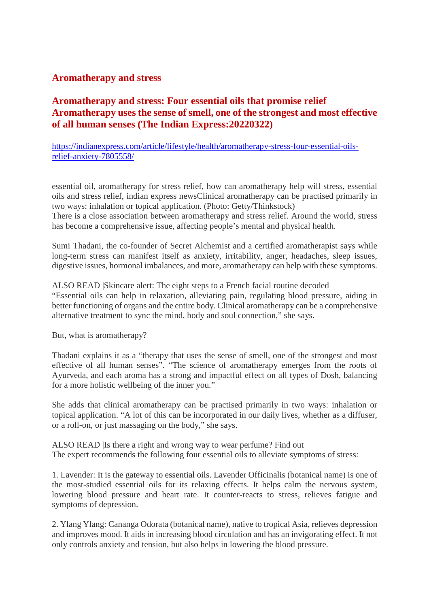### **Aromatherapy and stress**

# **Aromatherapy and stress: Four essential oils that promise relief Aromatherapy uses the sense of smell, one of the strongest and most effective of all human senses (The Indian Express:20220322)**

https://indianexpress.com/article/lifestyle/health/aromatherapy-stress-four-essential-oilsrelief-anxiety-7805558/

essential oil, aromatherapy for stress relief, how can aromatherapy help will stress, essential oils and stress relief, indian express newsClinical aromatherapy can be practised primarily in two ways: inhalation or topical application. (Photo: Getty/Thinkstock)

There is a close association between aromatherapy and stress relief. Around the world, stress has become a comprehensive issue, affecting people's mental and physical health.

Sumi Thadani, the co-founder of Secret Alchemist and a certified aromatherapist says while long-term stress can manifest itself as anxiety, irritability, anger, headaches, sleep issues, digestive issues, hormonal imbalances, and more, aromatherapy can help with these symptoms.

### ALSO READ |Skincare alert: The eight steps to a French facial routine decoded

"Essential oils can help in relaxation, alleviating pain, regulating blood pressure, aiding in better functioning of organs and the entire body. Clinical aromatherapy can be a comprehensive alternative treatment to sync the mind, body and soul connection," she says.

But, what is aromatherapy?

Thadani explains it as a "therapy that uses the sense of smell, one of the strongest and most effective of all human senses". "The science of aromatherapy emerges from the roots of Ayurveda, and each aroma has a strong and impactful effect on all types of Dosh, balancing for a more holistic wellbeing of the inner you."

She adds that clinical aromatherapy can be practised primarily in two ways: inhalation or topical application. "A lot of this can be incorporated in our daily lives, whether as a diffuser, or a roll-on, or just massaging on the body," she says.

ALSO READ |Is there a right and wrong way to wear perfume? Find out The expert recommends the following four essential oils to alleviate symptoms of stress:

1. Lavender: It is the gateway to essential oils. Lavender Officinalis (botanical name) is one of the most-studied essential oils for its relaxing effects. It helps calm the nervous system, lowering blood pressure and heart rate. It counter-reacts to stress, relieves fatigue and symptoms of depression.

2. Ylang Ylang: Cananga Odorata (botanical name), native to tropical Asia, relieves depression and improves mood. It aids in increasing blood circulation and has an invigorating effect. It not only controls anxiety and tension, but also helps in lowering the blood pressure.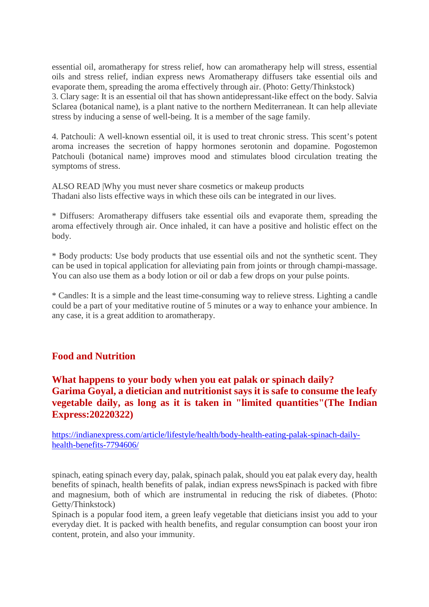essential oil, aromatherapy for stress relief, how can aromatherapy help will stress, essential oils and stress relief, indian express news Aromatherapy diffusers take essential oils and evaporate them, spreading the aroma effectively through air. (Photo: Getty/Thinkstock)

3. Clary sage: It is an essential oil that has shown antidepressant-like effect on the body. Salvia Sclarea (botanical name), is a plant native to the northern Mediterranean. It can help alleviate stress by inducing a sense of well-being. It is a member of the sage family.

4. Patchouli: A well-known essential oil, it is used to treat chronic stress. This scent's potent aroma increases the secretion of happy hormones serotonin and dopamine. Pogostemon Patchouli (botanical name) improves mood and stimulates blood circulation treating the symptoms of stress.

ALSO READ |Why you must never share cosmetics or makeup products Thadani also lists effective ways in which these oils can be integrated in our lives.

\* Diffusers: Aromatherapy diffusers take essential oils and evaporate them, spreading the aroma effectively through air. Once inhaled, it can have a positive and holistic effect on the body.

\* Body products: Use body products that use essential oils and not the synthetic scent. They can be used in topical application for alleviating pain from joints or through champi-massage. You can also use them as a body lotion or oil or dab a few drops on your pulse points.

\* Candles: It is a simple and the least time-consuming way to relieve stress. Lighting a candle could be a part of your meditative routine of 5 minutes or a way to enhance your ambience. In any case, it is a great addition to aromatherapy.

### **Food and Nutrition**

# **What happens to your body when you eat palak or spinach daily? Garima Goyal, a dietician and nutritionist says it is safe to consume the leafy vegetable daily, as long as it is taken in "limited quantities"(The Indian Express:20220322)**

https://indianexpress.com/article/lifestyle/health/body-health-eating-palak-spinach-dailyhealth-benefits-7794606/

spinach, eating spinach every day, palak, spinach palak, should you eat palak every day, health benefits of spinach, health benefits of palak, indian express newsSpinach is packed with fibre and magnesium, both of which are instrumental in reducing the risk of diabetes. (Photo: Getty/Thinkstock)

Spinach is a popular food item, a green leafy vegetable that dieticians insist you add to your everyday diet. It is packed with health benefits, and regular consumption can boost your iron content, protein, and also your immunity.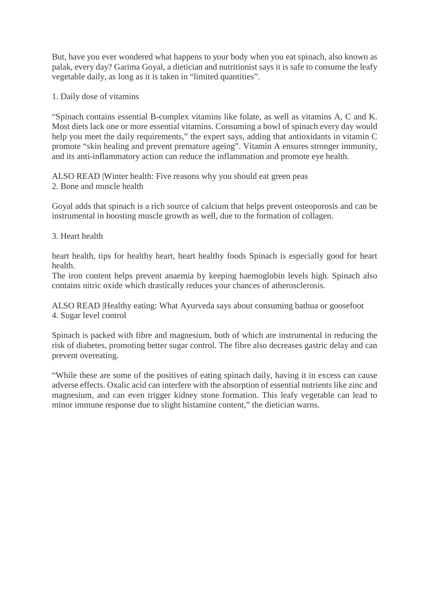But, have you ever wondered what happens to your body when you eat spinach, also known as palak, every day? Garima Goyal, a dietician and nutritionist says it is safe to consume the leafy vegetable daily, as long as it is taken in "limited quantities".

1. Daily dose of vitamins

"Spinach contains essential B-complex vitamins like folate, as well as vitamins A, C and K. Most diets lack one or more essential vitamins. Consuming a bowl of spinach every day would help you meet the daily requirements," the expert says, adding that antioxidants in vitamin C promote "skin healing and prevent premature ageing". Vitamin A ensures stronger immunity, and its anti-inflammatory action can reduce the inflammation and promote eye health.

ALSO READ |Winter health: Five reasons why you should eat green peas 2. Bone and muscle health

Goyal adds that spinach is a rich source of calcium that helps prevent osteoporosis and can be instrumental in boosting muscle growth as well, due to the formation of collagen.

3. Heart health

heart health, tips for healthy heart, heart healthy foods Spinach is especially good for heart health.

The iron content helps prevent anaemia by keeping haemoglobin levels high. Spinach also contains nitric oxide which drastically reduces your chances of atherosclerosis.

ALSO READ |Healthy eating: What Ayurveda says about consuming bathua or goosefoot 4. Sugar level control

Spinach is packed with fibre and magnesium, both of which are instrumental in reducing the risk of diabetes, promoting better sugar control. The fibre also decreases gastric delay and can prevent overeating.

"While these are some of the positives of eating spinach daily, having it in excess can cause adverse effects. Oxalic acid can interfere with the absorption of essential nutrients like zinc and magnesium, and can even trigger kidney stone formation. This leafy vegetable can lead to minor immune response due to slight histamine content," the dietician warns.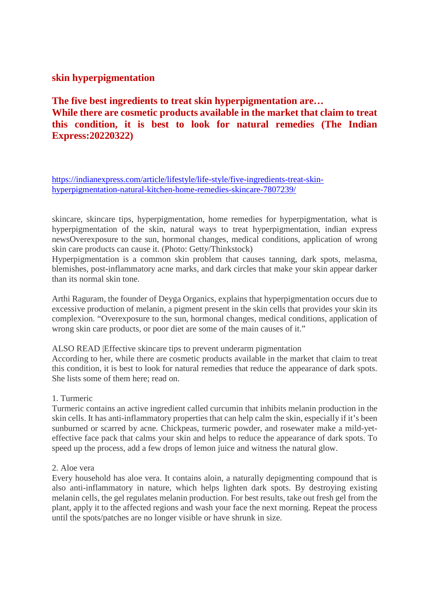**skin hyperpigmentation**

**The five best ingredients to treat skin hyperpigmentation are… While there are cosmetic products available in the market that claim to treat this condition, it is best to look for natural remedies (The Indian Express:20220322)**

https://indianexpress.com/article/lifestyle/life-style/five-ingredients-treat-skinhyperpigmentation-natural-kitchen-home-remedies-skincare-7807239/

skincare, skincare tips, hyperpigmentation, home remedies for hyperpigmentation, what is hyperpigmentation of the skin, natural ways to treat hyperpigmentation, indian express newsOverexposure to the sun, hormonal changes, medical conditions, application of wrong skin care products can cause it. (Photo: Getty/Thinkstock)

Hyperpigmentation is a common skin problem that causes tanning, dark spots, melasma, blemishes, post-inflammatory acne marks, and dark circles that make your skin appear darker than its normal skin tone.

Arthi Raguram, the founder of Deyga Organics, explains that hyperpigmentation occurs due to excessive production of melanin, a pigment present in the skin cells that provides your skin its complexion. "Overexposure to the sun, hormonal changes, medical conditions, application of wrong skin care products, or poor diet are some of the main causes of it."

### ALSO READ |Effective skincare tips to prevent underarm pigmentation

According to her, while there are cosmetic products available in the market that claim to treat this condition, it is best to look for natural remedies that reduce the appearance of dark spots. She lists some of them here; read on.

### 1. Turmeric

Turmeric contains an active ingredient called curcumin that inhibits melanin production in the skin cells. It has anti-inflammatory properties that can help calm the skin, especially if it's been sunburned or scarred by acne. Chickpeas, turmeric powder, and rosewater make a mild-yeteffective face pack that calms your skin and helps to reduce the appearance of dark spots. To speed up the process, add a few drops of lemon juice and witness the natural glow.

### 2. Aloe vera

Every household has aloe vera. It contains aloin, a naturally depigmenting compound that is also anti-inflammatory in nature, which helps lighten dark spots. By destroying existing melanin cells, the gel regulates melanin production. For best results, take out fresh gel from the plant, apply it to the affected regions and wash your face the next morning. Repeat the process until the spots/patches are no longer visible or have shrunk in size.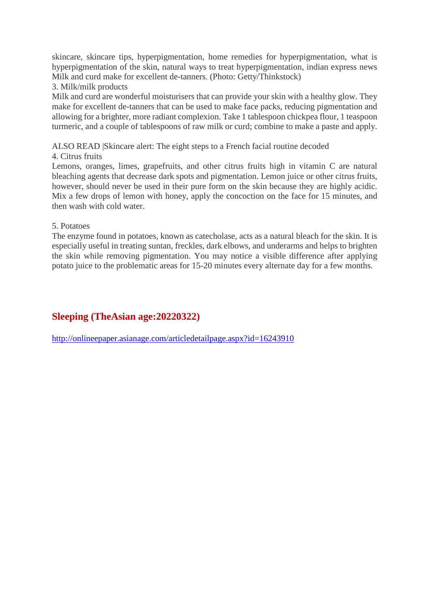skincare, skincare tips, hyperpigmentation, home remedies for hyperpigmentation, what is hyperpigmentation of the skin, natural ways to treat hyperpigmentation, indian express news Milk and curd make for excellent de-tanners. (Photo: Getty/Thinkstock)

3. Milk/milk products

Milk and curd are wonderful moisturisers that can provide your skin with a healthy glow. They make for excellent de-tanners that can be used to make face packs, reducing pigmentation and allowing for a brighter, more radiant complexion. Take 1 tablespoon chickpea flour, 1 teaspoon turmeric, and a couple of tablespoons of raw milk or curd; combine to make a paste and apply.

ALSO READ |Skincare alert: The eight steps to a French facial routine decoded

4. Citrus fruits

Lemons, oranges, limes, grapefruits, and other citrus fruits high in vitamin C are natural bleaching agents that decrease dark spots and pigmentation. Lemon juice or other citrus fruits, however, should never be used in their pure form on the skin because they are highly acidic. Mix a few drops of lemon with honey, apply the concoction on the face for 15 minutes, and then wash with cold water.

5. Potatoes

The enzyme found in potatoes, known as catecholase, acts as a natural bleach for the skin. It is especially useful in treating suntan, freckles, dark elbows, and underarms and helps to brighten the skin while removing pigmentation. You may notice a visible difference after applying potato juice to the problematic areas for 15-20 minutes every alternate day for a few months.

# **Sleeping (TheAsian age:20220322)**

http://onlineepaper.asianage.com/articledetailpage.aspx?id=16243910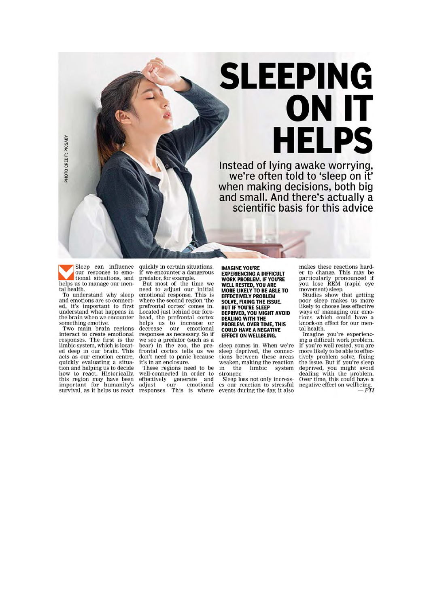# **SLEEPING** ON IT **HELPS**

Instead of lying awake worrying, we're often told to 'sleep on it' when making decisions, both big and small. And there's actually a scientific basis for this advice

Sleep can influence our response to emo-<br>tional situations, and helps us to manage our mental health.

PHOTO CREDIT: PICSABY

To understand why sleep and emotions are so connected, it's important to first understand what happens in the brain when we encounter something emotive.

Two main brain regions<br>interact to create emotional<br>responses. The first is the limbic system, which is located deep in our brain. This<br>acts as our emotion centre, quickly evaluating a situation and helping us to decide how to react. Historically, this region may have been<br>important for humanity's survival, as it helps us react

quickly in certain situations. if we encounter a dangerous predator, for example.

But most of the time we<br>need to adjust our initial<br>emotional response. This is where the second region 'the<br>prefrontal cortex' comes in. Located just behind our forehead, the prefrontal cortex helps us to increase or<br>decrease our emotional<br>responses as necessary. So if we see a predator (such as a bear) in the zoo, the pre-<br>frontal cortex tells us we don't need to panic because it's in an enclosure.

These regions need to be well-connected in order to effectively generate and<br>adjust our emotional emotional responses. This is where

**IMAGINE YOU'RE EXPERIENCING A DIFFICULT WORK PROBLEM. IF YOU'RE** WELL RESTED, YOU ARE<br>MORE LIKELY TO BE ABLE TO<br>EFFECTIVELY PROBLEM **SOLVE, FIXING THE ISSUE. BUT IF YOU'RE SLEEP** DEPRIVED, YOU MIGHT AVOID<br>DEALING WITH THE PROBLEM. OVER TIME, THIS **COULD HAVE A NEGATIVE EFFECT ON WELLBEING.** 

sleep comes in. When we're sleep deprived, the connections between these areas weaken, making the reaction limbic in the system stronger.

Sleep loss not only increases our reaction to stressful events during the day, it also

makes these reactions hardmakes these reactions nare-<br>er to change. This may be<br>particularly pronounced if<br>you lose REM (rapid eye<br>Studies show that getting<br>Studies show that getting<br>poor sleep makes us more<br>likely to choose less effective

ways of managing our emotions which could have a knock-on effect for our mental health.

Imagine you're experiencing a difficult work problem. If you're well rested, you are more likely to be able to effectively problem solve, fixing<br>the issue. But if you're sleep deprived, you might avoid dealing with the problem.<br>Over time, this could have a negative effect on wellbeing  $\tilde{PTI}$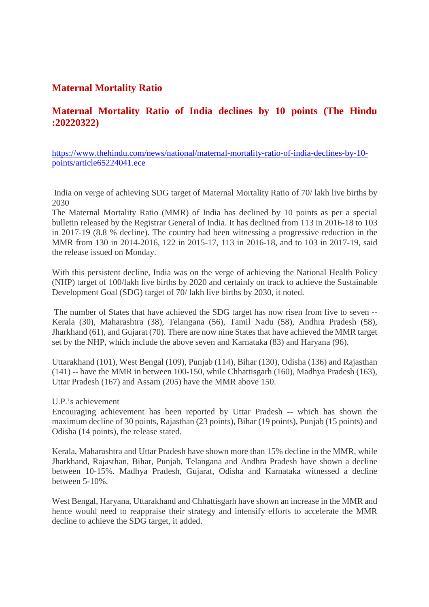# **Maternal Mortality Ratio**

# **Maternal Mortality Ratio of India declines by 10 points (The Hindu :20220322)**

https://www.thehindu.com/news/national/maternal-mortality-ratio-of-india-declines-by-10 points/article65224041.ece

India on verge of achieving SDG target of Maternal Mortality Ratio of 70/ lakh live births by 2030

The Maternal Mortality Ratio (MMR) of India has declined by 10 points as per a special bulletin released by the Registrar General of India. It has declined from 113 in 2016-18 to 103 in 2017-19 (8.8 % decline). The country had been witnessing a progressive reduction in the MMR from 130 in 2014-2016, 122 in 2015-17, 113 in 2016-18, and to 103 in 2017-19, said the release issued on Monday.

With this persistent decline, India was on the verge of achieving the National Health Policy (NHP) target of 100/lakh live births by 2020 and certainly on track to achieve the Sustainable Development Goal (SDG) target of 70/ lakh live births by 2030, it noted.

The number of States that have achieved the SDG target has now risen from five to seven -- Kerala (30), Maharashtra (38), Telangana (56), Tamil Nadu (58), Andhra Pradesh (58), Jharkhand (61), and Gujarat (70). There are now nine States that have achieved the MMR target set by the NHP, which include the above seven and Karnataka (83) and Haryana (96).

Uttarakhand (101), West Bengal (109), Punjab (114), Bihar (130), Odisha (136) and Rajasthan (141) -- have the MMR in between 100-150, while Chhattisgarh (160), Madhya Pradesh (163), Uttar Pradesh (167) and Assam (205) have the MMR above 150.

U.P.'s achievement

Encouraging achievement has been reported by Uttar Pradesh -- which has shown the maximum decline of 30 points, Rajasthan (23 points), Bihar (19 points), Punjab (15 points) and Odisha (14 points), the release stated.

Kerala, Maharashtra and Uttar Pradesh have shown more than 15% decline in the MMR, while Jharkhand, Rajasthan, Bihar, Punjab, Telangana and Andhra Pradesh have shown a decline between 10-15%. Madhya Pradesh, Gujarat, Odisha and Karnataka witnessed a decline between 5-10%.

West Bengal, Haryana, Uttarakhand and Chhattisgarh have shown an increase in the MMR and hence would need to reappraise their strategy and intensify efforts to accelerate the MMR decline to achieve the SDG target, it added.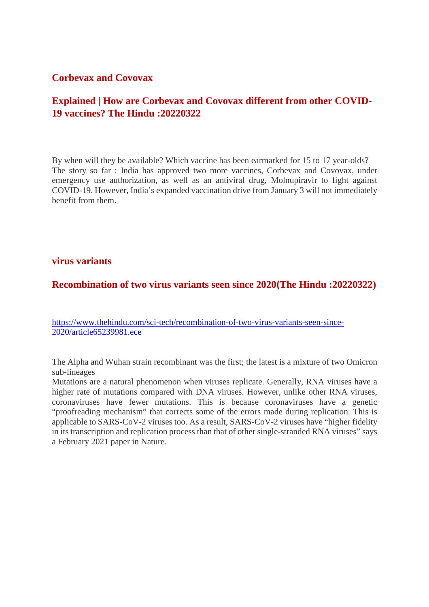### **Corbevax and Covovax**

# **Explained | How are Corbevax and Covovax different from other COVID-19 vaccines? The Hindu :20220322**

By when will they be available? Which vaccine has been earmarked for 15 to 17 year-olds? The story so far : India has approved two more vaccines, Corbevax and Covovax, under emergency use authorization, as well as an antiviral drug, Molnupiravir to fight against COVID-19. However, India's expanded vaccination drive from January 3 will not immediately benefit from them.

### **virus variants**

### **Recombination of two virus variants seen since 2020(The Hindu :20220322)**

https://www.thehindu.com/sci-tech/recombination-of-two-virus-variants-seen-since-2020/article65239981.ece

The Alpha and Wuhan strain recombinant was the first; the latest is a mixture of two Omicron sub-lineages

Mutations are a natural phenomenon when viruses replicate. Generally, RNA viruses have a higher rate of mutations compared with DNA viruses. However, unlike other RNA viruses, coronaviruses have fewer mutations. This is because coronaviruses have a genetic "proofreading mechanism" that corrects some of the errors made during replication. This is applicable to SARS-CoV-2 viruses too. As a result, SARS-CoV-2 viruses have "higher fidelity in its transcription and replication process than that of other single-stranded RNA viruses" says a February 2021 paper in Nature.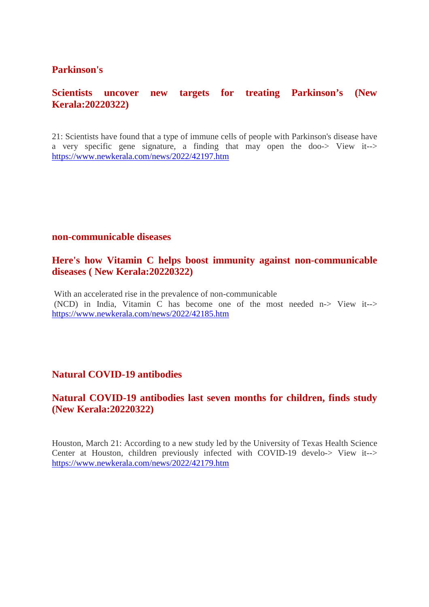### **Parkinson's**

### **Scientists uncover new targets for treating Parkinson's (New Kerala:20220322)**

21: Scientists have found that a type of immune cells of people with Parkinson's disease have a very specific gene signature, a finding that may open the doo-> View it--> https://www.newkerala.com/news/2022/42197.htm

### **non-communicable diseases**

### **Here's how Vitamin C helps boost immunity against non-communicable diseases ( New Kerala:20220322)**

With an accelerated rise in the prevalence of non-communicable (NCD) in India, Vitamin C has become one of the most needed n-> View it--> https://www.newkerala.com/news/2022/42185.htm

### **Natural COVID-19 antibodies**

### **Natural COVID-19 antibodies last seven months for children, finds study (New Kerala:20220322)**

Houston, March 21: According to a new study led by the University of Texas Health Science Center at Houston, children previously infected with COVID-19 develo-> View it--> https://www.newkerala.com/news/2022/42179.htm